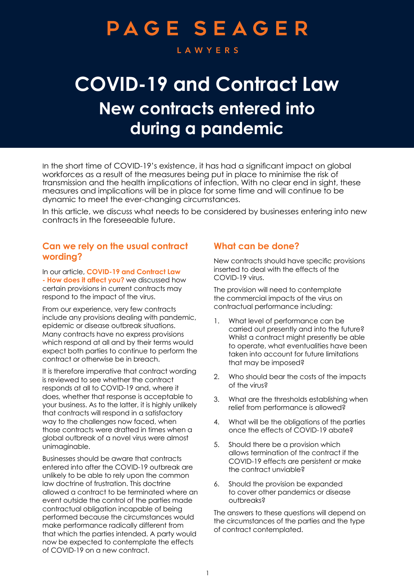# **PAGE SEAGER**

#### **LAWYERS**

## **COVID-19 and Contract Law New contracts entered into during a pandemic**

In the short time of COVID-19's existence, it has had a significant impact on global workforces as a result of the measures being put in place to minimise the risk of transmission and the health implications of infection. With no clear end in sight, these measures and implications will be in place for some time and will continue to be dynamic to meet the ever-changing circumstances.

In this article, we discuss what needs to be considered by businesses entering into new contracts in the foreseeable future.

#### **Can we rely on the usual contract wording?**

In our article, **[COVID-19 and Contract Law](https://www.pageseager.com.au/wp-content/uploads/2020/04/COVID-19-and-Contract-Law.pdf)  [- How does it affect you?](https://www.pageseager.com.au/wp-content/uploads/2020/04/COVID-19-and-Contract-Law.pdf)** we discussed how certain provisions in current contracts may respond to the impact of the virus.

From our experience, very few contracts include any provisions dealing with pandemic, epidemic or disease outbreak situations. Many contracts have no express provisions which respond at all and by their terms would expect both parties to continue to perform the contract or otherwise be in breach.

It is therefore imperative that contract wording is reviewed to see whether the contract responds at all to COVID-19 and, where it does, whether that response is acceptable to your business. As to the latter, it is highly unlikely that contracts will respond in a satisfactory way to the challenges now faced, when those contracts were drafted in times when a global outbreak of a novel virus were almost unimaginable.

Businesses should be aware that contracts entered into after the COVID-19 outbreak are unlikely to be able to rely upon the common law doctrine of frustration. This doctrine allowed a contract to be terminated where an event outside the control of the parties made contractual obligation incapable of being performed because the circumstances would make performance radically different from that which the parties intended. A party would now be expected to contemplate the effects of COVID-19 on a new contract.

## **What can be done?**

New contracts should have specific provisions inserted to deal with the effects of the COVID-19 virus.

The provision will need to contemplate the commercial impacts of the virus on contractual performance including:

- 1. What level of performance can be carried out presently and into the future? Whilst a contract might presently be able to operate, what eventualities have been taken into account for future limitations that may be imposed?
- 2. Who should bear the costs of the impacts of the virus?
- 3. What are the thresholds establishing when relief from performance is allowed?
- 4. What will be the obligations of the parties once the effects of COVID-19 abate?
- 5. Should there be a provision which allows termination of the contract if the COVID-19 effects are persistent or make the contract unviable?
- 6. Should the provision be expanded to cover other pandemics or disease outbreaks?

The answers to these questions will depend on the circumstances of the parties and the type of contract contemplated.